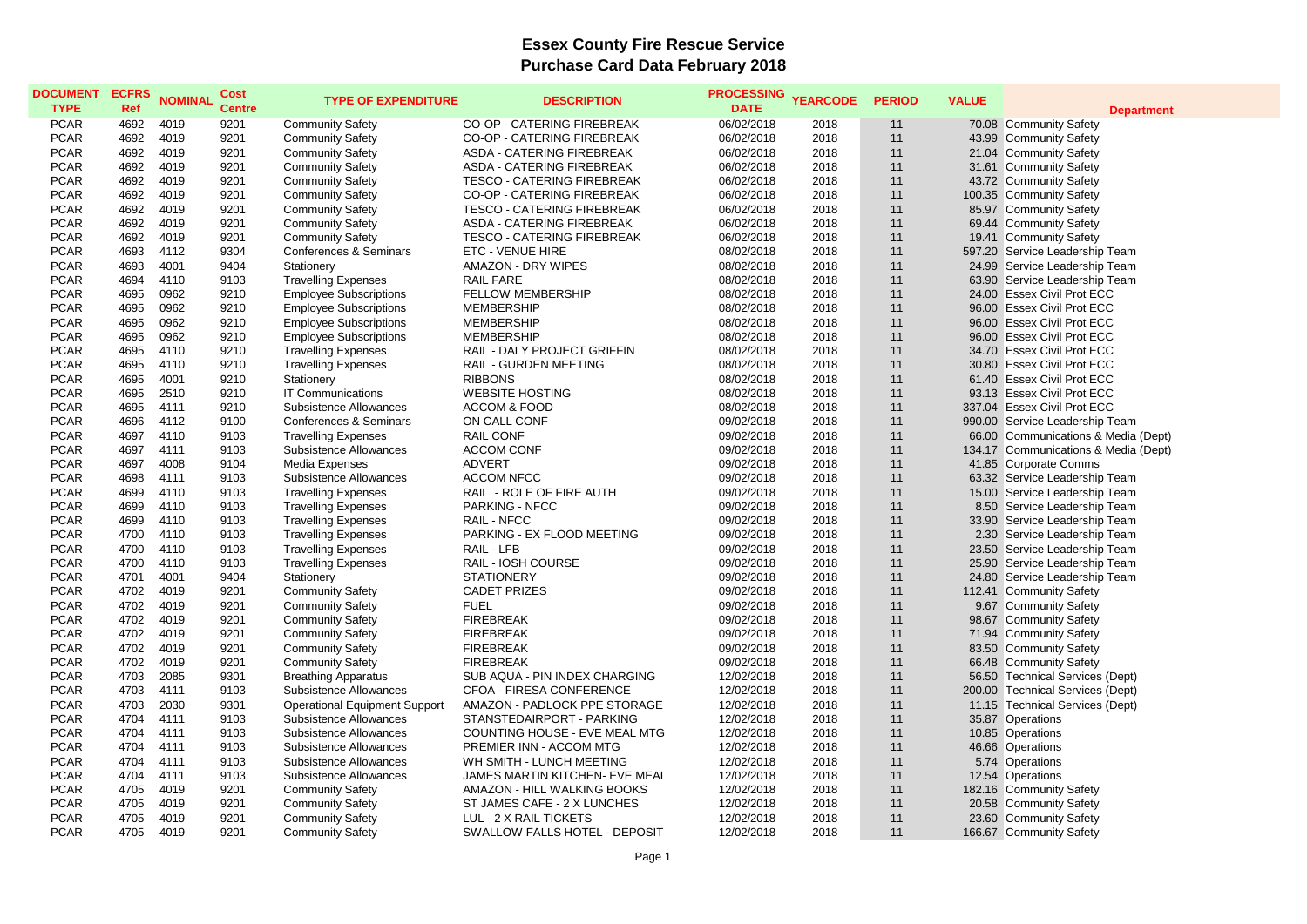| <b>DOCUMENT</b><br><b>TYPE</b> | <b>ECFRS</b><br>Ref | <b>NOMINAL</b> | Cost<br><b>Centre</b> | <b>TYPE OF EXPENDITURE</b>                               | <b>DESCRIPTION</b>                | <b>PROCESSING</b><br><b>DATE</b> | <b>YEARCODE</b> | <b>PERIOD</b> | <b>VALUE</b> | <b>Department</b>                                        |
|--------------------------------|---------------------|----------------|-----------------------|----------------------------------------------------------|-----------------------------------|----------------------------------|-----------------|---------------|--------------|----------------------------------------------------------|
| <b>PCAR</b>                    | 4692                | 4019           | 9201                  | <b>Community Safety</b>                                  | CO-OP - CATERING FIREBREAK        | 06/02/2018                       | 2018            | 11            |              | 70.08 Community Safety                                   |
| <b>PCAR</b>                    | 4692                | 4019           | 9201                  | <b>Community Safety</b>                                  | CO-OP - CATERING FIREBREAK        | 06/02/2018                       | 2018            | 11            |              | 43.99 Community Safety                                   |
| <b>PCAR</b>                    | 4692                | 4019           | 9201                  | <b>Community Safety</b>                                  | ASDA - CATERING FIREBREAK         | 06/02/2018                       | 2018            | 11            |              | 21.04 Community Safety                                   |
| <b>PCAR</b>                    | 4692                | 4019           | 9201                  | <b>Community Safety</b>                                  | ASDA - CATERING FIREBREAK         | 06/02/2018                       | 2018            | 11            |              | 31.61 Community Safety                                   |
| <b>PCAR</b>                    | 4692                | 4019           | 9201                  | <b>Community Safety</b>                                  | <b>TESCO - CATERING FIREBREAK</b> | 06/02/2018                       | 2018            | 11            |              | 43.72 Community Safety                                   |
| <b>PCAR</b>                    | 4692                | 4019           | 9201                  | <b>Community Safety</b>                                  | CO-OP - CATERING FIREBREAK        | 06/02/2018                       | 2018            | 11            |              | 100.35 Community Safety                                  |
| <b>PCAR</b>                    | 4692                | 4019           | 9201                  | <b>Community Safety</b>                                  | <b>TESCO - CATERING FIREBREAK</b> | 06/02/2018                       | 2018            | 11            |              | 85.97 Community Safety                                   |
| <b>PCAR</b>                    | 4692                | 4019           | 9201                  | <b>Community Safety</b>                                  | ASDA - CATERING FIREBREAK         | 06/02/2018                       | 2018            | 11            |              | 69.44 Community Safety                                   |
| <b>PCAR</b>                    | 4692                | 4019           | 9201                  | <b>Community Safety</b>                                  | <b>TESCO - CATERING FIREBREAK</b> | 06/02/2018                       | 2018            | 11            |              | 19.41 Community Safety                                   |
| <b>PCAR</b>                    | 4693                | 4112           | 9304                  | <b>Conferences &amp; Seminars</b>                        | <b>ETC - VENUE HIRE</b>           | 08/02/2018                       | 2018            | 11            |              | 597.20 Service Leadership Team                           |
| <b>PCAR</b>                    | 4693                | 4001           | 9404                  | Stationery                                               | <b>AMAZON - DRY WIPES</b>         | 08/02/2018                       | 2018            | 11            |              | 24.99 Service Leadership Team                            |
| <b>PCAR</b>                    | 4694                | 4110           | 9103                  | <b>Travelling Expenses</b>                               | RAIL FARE                         | 08/02/2018                       | 2018            | 11            |              | 63.90 Service Leadership Team                            |
| <b>PCAR</b>                    | 4695                | 0962           | 9210                  | <b>Employee Subscriptions</b>                            | <b>FELLOW MEMBERSHIP</b>          | 08/02/2018                       | 2018            | 11            |              | 24.00 Essex Civil Prot ECC                               |
| <b>PCAR</b>                    | 4695                | 0962           | 9210                  | <b>Employee Subscriptions</b>                            | <b>MEMBERSHIP</b>                 | 08/02/2018                       | 2018            | 11            |              | 96.00 Essex Civil Prot ECC                               |
| <b>PCAR</b>                    | 4695                | 0962           | 9210                  | <b>Employee Subscriptions</b>                            | <b>MEMBERSHIP</b>                 | 08/02/2018                       | 2018            | 11            |              | 96.00 Essex Civil Prot ECC                               |
| <b>PCAR</b>                    | 4695                | 0962           | 9210                  | <b>Employee Subscriptions</b>                            | <b>MEMBERSHIP</b>                 | 08/02/2018                       | 2018            | 11            |              | 96.00 Essex Civil Prot ECC                               |
| <b>PCAR</b>                    | 4695                | 4110           | 9210                  | <b>Travelling Expenses</b>                               | RAIL - DALY PROJECT GRIFFIN       | 08/02/2018                       | 2018            | 11            |              | 34.70 Essex Civil Prot ECC                               |
| <b>PCAR</b>                    | 4695                | 4110           | 9210                  | <b>Travelling Expenses</b>                               | RAIL - GURDEN MEETING             | 08/02/2018                       | 2018            | 11            |              | 30.80 Essex Civil Prot ECC                               |
| <b>PCAR</b>                    | 4695                | 4001           | 9210                  | Stationery                                               | <b>RIBBONS</b>                    | 08/02/2018                       | 2018            | 11            |              | 61.40 Essex Civil Prot ECC                               |
| <b>PCAR</b>                    | 4695                | 2510           | 9210                  | <b>IT Communications</b>                                 | <b>WEBSITE HOSTING</b>            | 08/02/2018                       | 2018            | 11            |              | 93.13 Essex Civil Prot ECC                               |
| <b>PCAR</b>                    | 4695                | 4111           | 9210                  | Subsistence Allowances                                   | <b>ACCOM &amp; FOOD</b>           | 08/02/2018                       | 2018            | 11            |              | 337.04 Essex Civil Prot ECC                              |
| <b>PCAR</b>                    | 4696                | 4112           | 9100                  | <b>Conferences &amp; Seminars</b>                        | ON CALL CONF                      | 09/02/2018                       | 2018            | 11            |              | 990.00 Service Leadership Team                           |
| <b>PCAR</b>                    | 4697                | 4110           | 9103                  | <b>Travelling Expenses</b>                               | <b>RAIL CONF</b>                  | 09/02/2018                       | 2018            | 11            |              | 66.00 Communications & Media (Dept)                      |
| <b>PCAR</b>                    | 4697                | 4111           | 9103                  | Subsistence Allowances                                   | <b>ACCOM CONF</b>                 | 09/02/2018                       | 2018            | 11            |              | 134.17 Communications & Media (Dept)                     |
| <b>PCAR</b>                    | 4697                | 4008           | 9104                  | Media Expenses                                           | <b>ADVERT</b>                     | 09/02/2018                       | 2018            | 11            |              | 41.85 Corporate Comms                                    |
| <b>PCAR</b>                    | 4698                | 4111           | 9103                  | Subsistence Allowances                                   | <b>ACCOM NFCC</b>                 | 09/02/2018                       | 2018            | 11            |              | 63.32 Service Leadership Team                            |
| <b>PCAR</b>                    | 4699                | 4110           | 9103                  | <b>Travelling Expenses</b>                               | RAIL - ROLE OF FIRE AUTH          | 09/02/2018                       | 2018            | 11            |              | 15.00 Service Leadership Team                            |
| <b>PCAR</b>                    | 4699                | 4110           | 9103                  | <b>Travelling Expenses</b>                               | PARKING - NFCC                    | 09/02/2018                       | 2018            | 11            |              | 8.50 Service Leadership Team                             |
| <b>PCAR</b>                    | 4699                | 4110           | 9103                  | <b>Travelling Expenses</b>                               | RAIL - NFCC                       | 09/02/2018                       | 2018            | 11            |              | 33.90 Service Leadership Team                            |
| <b>PCAR</b>                    | 4700                | 4110           | 9103                  | <b>Travelling Expenses</b>                               | PARKING - EX FLOOD MEETING        | 09/02/2018                       |                 | 11            |              | 2.30 Service Leadership Team                             |
| <b>PCAR</b>                    | 4700                | 4110           | 9103                  |                                                          | RAIL - LFB                        | 09/02/2018                       | 2018<br>2018    | 11            |              | 23.50 Service Leadership Team                            |
| <b>PCAR</b>                    | 4700                | 4110           | 9103                  | <b>Travelling Expenses</b><br><b>Travelling Expenses</b> | RAIL - IOSH COURSE                | 09/02/2018                       | 2018            | 11            |              | 25.90 Service Leadership Team                            |
|                                | 4701                |                | 9404                  |                                                          | <b>STATIONERY</b>                 |                                  | 2018            | 11            |              |                                                          |
| <b>PCAR</b><br><b>PCAR</b>     | 4702                | 4001<br>4019   | 9201                  | Stationery                                               | <b>CADET PRIZES</b>               | 09/02/2018<br>09/02/2018         | 2018            | 11            |              | 24.80 Service Leadership Team<br>112.41 Community Safety |
| <b>PCAR</b>                    | 4702                | 4019           | 9201                  | <b>Community Safety</b>                                  | <b>FUEL</b>                       | 09/02/2018                       |                 | 11            |              |                                                          |
| <b>PCAR</b>                    | 4702                | 4019           |                       | <b>Community Safety</b>                                  | <b>FIREBREAK</b>                  |                                  | 2018<br>2018    | 11            |              | 9.67 Community Safety                                    |
|                                |                     |                | 9201                  | <b>Community Safety</b>                                  |                                   | 09/02/2018                       |                 |               |              | 98.67 Community Safety                                   |
| <b>PCAR</b>                    | 4702<br>4702        | 4019           | 9201<br>9201          | <b>Community Safety</b>                                  | <b>FIREBREAK</b>                  | 09/02/2018                       | 2018<br>2018    | 11<br>11      |              | 71.94 Community Safety                                   |
| <b>PCAR</b>                    |                     | 4019           |                       | <b>Community Safety</b>                                  | <b>FIREBREAK</b>                  | 09/02/2018                       |                 |               |              | 83.50 Community Safety                                   |
| <b>PCAR</b>                    | 4702                | 4019           | 9201                  | <b>Community Safety</b>                                  | <b>FIREBREAK</b>                  | 09/02/2018                       | 2018            | 11            |              | 66.48 Community Safety                                   |
| <b>PCAR</b>                    | 4703                | 2085           | 9301                  | <b>Breathing Apparatus</b>                               | SUB AQUA - PIN INDEX CHARGING     | 12/02/2018                       | 2018            | 11            |              | 56.50 Technical Services (Dept)                          |
| <b>PCAR</b>                    | 4703                | 4111           | 9103                  | Subsistence Allowances                                   | CFOA - FIRESA CONFERENCE          | 12/02/2018                       | 2018            | 11            |              | 200.00 Technical Services (Dept)                         |
| <b>PCAR</b>                    | 4703                | 2030           | 9301                  | <b>Operational Equipment Support</b>                     | AMAZON - PADLOCK PPE STORAGE      | 12/02/2018                       | 2018            | 11            |              | 11.15 Technical Services (Dept)                          |
| <b>PCAR</b>                    | 4704                | 4111           | 9103                  | Subsistence Allowances                                   | STANSTEDAIRPORT - PARKING         | 12/02/2018                       | 2018            | 11            |              | 35.87 Operations                                         |
| <b>PCAR</b>                    | 4704                | 4111           | 9103                  | Subsistence Allowances                                   | COUNTING HOUSE - EVE MEAL MTG     | 12/02/2018                       | 2018            | 11            |              | 10.85 Operations                                         |
| <b>PCAR</b>                    | 4704                | 4111           | 9103                  | Subsistence Allowances                                   | PREMIER INN - ACCOM MTG           | 12/02/2018                       | 2018            | 11            |              | 46.66 Operations                                         |
| <b>PCAR</b>                    | 4704                | 4111           | 9103                  | Subsistence Allowances                                   | WH SMITH - LUNCH MEETING          | 12/02/2018                       | 2018            | 11            |              | 5.74 Operations                                          |
| <b>PCAR</b>                    | 4704                | 4111           | 9103                  | Subsistence Allowances                                   | JAMES MARTIN KITCHEN- EVE MEAL    | 12/02/2018                       | 2018            | 11            |              | 12.54 Operations                                         |
| <b>PCAR</b>                    | 4705                | 4019           | 9201                  | <b>Community Safety</b>                                  | AMAZON - HILL WALKING BOOKS       | 12/02/2018                       | 2018            | 11            |              | 182.16 Community Safety                                  |
| <b>PCAR</b>                    | 4705                | 4019           | 9201                  | <b>Community Safety</b>                                  | ST JAMES CAFE - 2 X LUNCHES       | 12/02/2018                       | 2018            | 11            |              | 20.58 Community Safety                                   |
| <b>PCAR</b>                    | 4705                | 4019           | 9201                  | <b>Community Safety</b>                                  | LUL - 2 X RAIL TICKETS            | 12/02/2018                       | 2018            | 11            |              | 23.60 Community Safety                                   |
| <b>PCAR</b>                    | 4705                | 4019           | 9201                  | <b>Community Safety</b>                                  | SWALLOW FALLS HOTEL - DEPOSIT     | 12/02/2018                       | 2018            | 11            |              | 166.67 Community Safety                                  |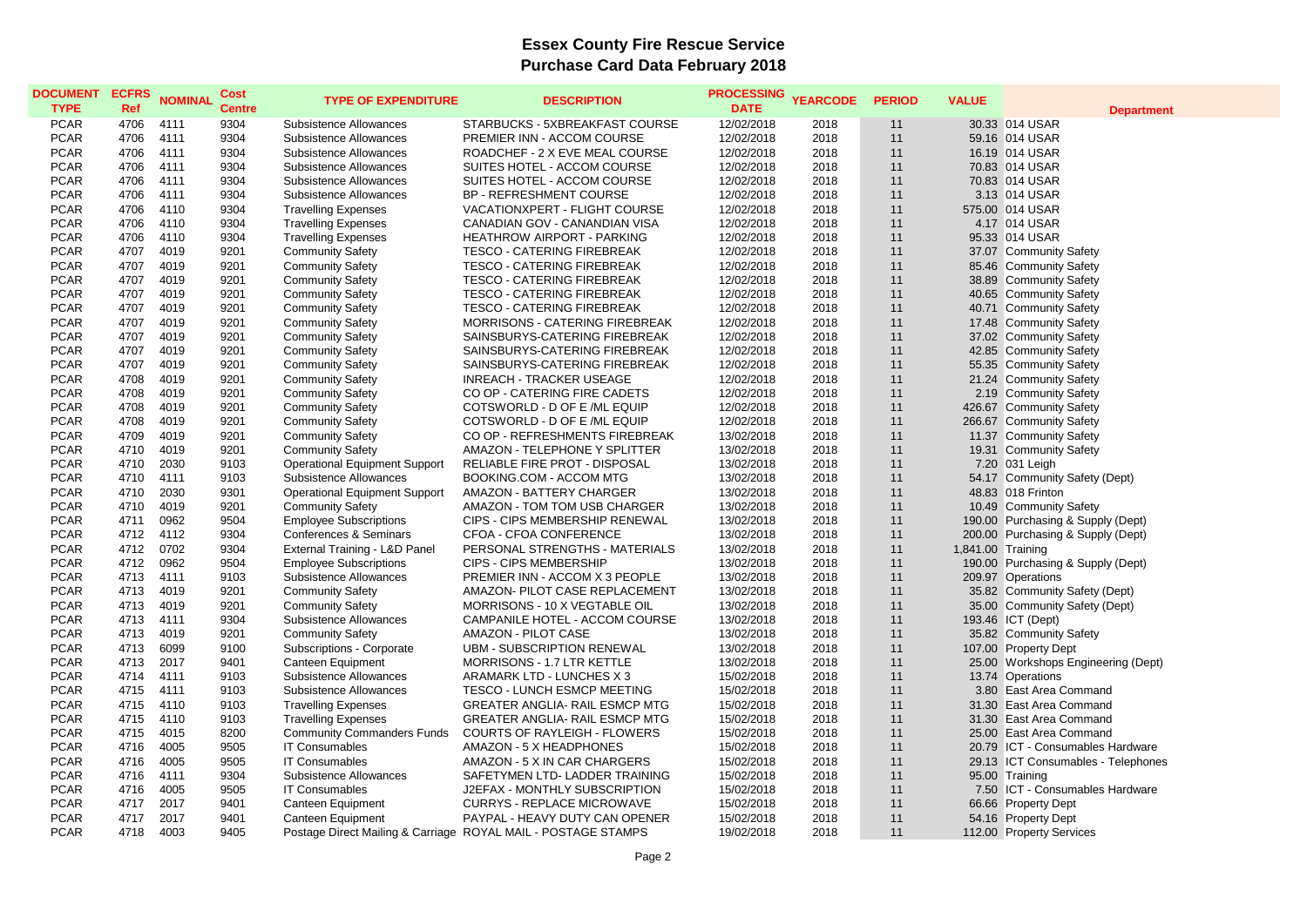| <b>DATE</b><br><b>TYPE</b><br><b>Ref</b><br><b>Centre</b><br><b>Department</b><br><b>PCAR</b><br>4706<br>4111<br>9304<br>STARBUCKS - 5XBREAKFAST COURSE<br>12/02/2018<br>2018<br>30.33 014 USAR<br>Subsistence Allowances<br>11<br><b>PCAR</b><br>4706<br>4111<br>9304<br>2018<br>11<br>Subsistence Allowances<br>PREMIER INN - ACCOM COURSE<br>12/02/2018<br>59.16 014 USAR<br><b>PCAR</b><br>4706<br>4111<br>9304<br>ROADCHEF - 2 X EVE MEAL COURSE<br>12/02/2018<br>2018<br>11<br>16.19 014 USAR<br>Subsistence Allowances<br><b>PCAR</b><br>4706<br>4111<br>9304<br>12/02/2018<br>70.83 014 USAR<br>Subsistence Allowances<br>SUITES HOTEL - ACCOM COURSE<br>2018<br>11<br><b>PCAR</b><br>4706<br>4111<br>9304<br>SUITES HOTEL - ACCOM COURSE<br>12/02/2018<br>2018<br>11<br>70.83 014 USAR<br>Subsistence Allowances<br><b>PCAR</b><br>4111<br>9304<br><b>BP - REFRESHMENT COURSE</b><br>4706<br>Subsistence Allowances<br>12/02/2018<br>2018<br>11<br>3.13 014 USAR<br><b>PCAR</b><br>9304<br>4706<br>4110<br><b>Travelling Expenses</b><br>VACATIONXPERT - FLIGHT COURSE<br>12/02/2018<br>2018<br>11<br>575.00 014 USAR<br><b>PCAR</b><br>9304<br>4706<br>4110<br><b>Travelling Expenses</b><br>CANADIAN GOV - CANANDIAN VISA<br>12/02/2018<br>2018<br>11<br>4.17 014 USAR<br><b>PCAR</b><br>4706<br>4110<br>9304<br><b>Travelling Expenses</b><br><b>HEATHROW AIRPORT - PARKING</b><br>12/02/2018<br>2018<br>11<br>95.33 014 USAR<br><b>PCAR</b><br>4707<br>4019<br>9201<br><b>Community Safety</b><br><b>TESCO - CATERING FIREBREAK</b><br>12/02/2018<br>2018<br>11<br>37.07 Community Safety<br><b>PCAR</b><br>4707<br>4019<br>9201<br><b>Community Safety</b><br><b>TESCO - CATERING FIREBREAK</b><br>12/02/2018<br>2018<br>11<br>85.46 Community Safety<br><b>PCAR</b><br>4707<br>4019<br>9201<br><b>Community Safety</b><br>TESCO - CATERING FIREBREAK<br>11<br>38.89 Community Safety<br>12/02/2018<br>2018<br><b>PCAR</b><br>4707<br>4019<br>9201<br><b>Community Safety</b><br>TESCO - CATERING FIREBREAK<br>12/02/2018<br>2018<br>11<br>40.65 Community Safety<br><b>PCAR</b><br>4707<br>4019<br>9201<br><b>TESCO - CATERING FIREBREAK</b><br>12/02/2018<br>11<br>40.71 Community Safety<br><b>Community Safety</b><br>2018<br><b>PCAR</b><br>4707<br>4019<br>9201<br><b>Community Safety</b><br>MORRISONS - CATERING FIREBREAK<br>12/02/2018<br>2018<br>11<br>17.48 Community Safety<br><b>PCAR</b><br>4019<br>9201<br>SAINSBURYS-CATERING FIREBREAK<br>11<br>37.02 Community Safety<br>4707<br><b>Community Safety</b><br>12/02/2018<br>2018<br><b>PCAR</b><br>4707<br>4019<br>9201<br>11<br><b>Community Safety</b><br>SAINSBURYS-CATERING FIREBREAK<br>12/02/2018<br>2018<br>42.85 Community Safety<br><b>PCAR</b><br>4707<br>4019<br>9201<br>2018<br>11<br>55.35 Community Safety<br><b>Community Safety</b><br>SAINSBURYS-CATERING FIREBREAK<br>12/02/2018 |  |
|-----------------------------------------------------------------------------------------------------------------------------------------------------------------------------------------------------------------------------------------------------------------------------------------------------------------------------------------------------------------------------------------------------------------------------------------------------------------------------------------------------------------------------------------------------------------------------------------------------------------------------------------------------------------------------------------------------------------------------------------------------------------------------------------------------------------------------------------------------------------------------------------------------------------------------------------------------------------------------------------------------------------------------------------------------------------------------------------------------------------------------------------------------------------------------------------------------------------------------------------------------------------------------------------------------------------------------------------------------------------------------------------------------------------------------------------------------------------------------------------------------------------------------------------------------------------------------------------------------------------------------------------------------------------------------------------------------------------------------------------------------------------------------------------------------------------------------------------------------------------------------------------------------------------------------------------------------------------------------------------------------------------------------------------------------------------------------------------------------------------------------------------------------------------------------------------------------------------------------------------------------------------------------------------------------------------------------------------------------------------------------------------------------------------------------------------------------------------------------------------------------------------------------------------------------------------------------------------------------------------------------------------------------------------------------------------------------------------------------------------------------------------------------------------------------------------------------------------------------------------------------------|--|
|                                                                                                                                                                                                                                                                                                                                                                                                                                                                                                                                                                                                                                                                                                                                                                                                                                                                                                                                                                                                                                                                                                                                                                                                                                                                                                                                                                                                                                                                                                                                                                                                                                                                                                                                                                                                                                                                                                                                                                                                                                                                                                                                                                                                                                                                                                                                                                                                                                                                                                                                                                                                                                                                                                                                                                                                                                                                                   |  |
|                                                                                                                                                                                                                                                                                                                                                                                                                                                                                                                                                                                                                                                                                                                                                                                                                                                                                                                                                                                                                                                                                                                                                                                                                                                                                                                                                                                                                                                                                                                                                                                                                                                                                                                                                                                                                                                                                                                                                                                                                                                                                                                                                                                                                                                                                                                                                                                                                                                                                                                                                                                                                                                                                                                                                                                                                                                                                   |  |
|                                                                                                                                                                                                                                                                                                                                                                                                                                                                                                                                                                                                                                                                                                                                                                                                                                                                                                                                                                                                                                                                                                                                                                                                                                                                                                                                                                                                                                                                                                                                                                                                                                                                                                                                                                                                                                                                                                                                                                                                                                                                                                                                                                                                                                                                                                                                                                                                                                                                                                                                                                                                                                                                                                                                                                                                                                                                                   |  |
|                                                                                                                                                                                                                                                                                                                                                                                                                                                                                                                                                                                                                                                                                                                                                                                                                                                                                                                                                                                                                                                                                                                                                                                                                                                                                                                                                                                                                                                                                                                                                                                                                                                                                                                                                                                                                                                                                                                                                                                                                                                                                                                                                                                                                                                                                                                                                                                                                                                                                                                                                                                                                                                                                                                                                                                                                                                                                   |  |
|                                                                                                                                                                                                                                                                                                                                                                                                                                                                                                                                                                                                                                                                                                                                                                                                                                                                                                                                                                                                                                                                                                                                                                                                                                                                                                                                                                                                                                                                                                                                                                                                                                                                                                                                                                                                                                                                                                                                                                                                                                                                                                                                                                                                                                                                                                                                                                                                                                                                                                                                                                                                                                                                                                                                                                                                                                                                                   |  |
|                                                                                                                                                                                                                                                                                                                                                                                                                                                                                                                                                                                                                                                                                                                                                                                                                                                                                                                                                                                                                                                                                                                                                                                                                                                                                                                                                                                                                                                                                                                                                                                                                                                                                                                                                                                                                                                                                                                                                                                                                                                                                                                                                                                                                                                                                                                                                                                                                                                                                                                                                                                                                                                                                                                                                                                                                                                                                   |  |
|                                                                                                                                                                                                                                                                                                                                                                                                                                                                                                                                                                                                                                                                                                                                                                                                                                                                                                                                                                                                                                                                                                                                                                                                                                                                                                                                                                                                                                                                                                                                                                                                                                                                                                                                                                                                                                                                                                                                                                                                                                                                                                                                                                                                                                                                                                                                                                                                                                                                                                                                                                                                                                                                                                                                                                                                                                                                                   |  |
|                                                                                                                                                                                                                                                                                                                                                                                                                                                                                                                                                                                                                                                                                                                                                                                                                                                                                                                                                                                                                                                                                                                                                                                                                                                                                                                                                                                                                                                                                                                                                                                                                                                                                                                                                                                                                                                                                                                                                                                                                                                                                                                                                                                                                                                                                                                                                                                                                                                                                                                                                                                                                                                                                                                                                                                                                                                                                   |  |
|                                                                                                                                                                                                                                                                                                                                                                                                                                                                                                                                                                                                                                                                                                                                                                                                                                                                                                                                                                                                                                                                                                                                                                                                                                                                                                                                                                                                                                                                                                                                                                                                                                                                                                                                                                                                                                                                                                                                                                                                                                                                                                                                                                                                                                                                                                                                                                                                                                                                                                                                                                                                                                                                                                                                                                                                                                                                                   |  |
|                                                                                                                                                                                                                                                                                                                                                                                                                                                                                                                                                                                                                                                                                                                                                                                                                                                                                                                                                                                                                                                                                                                                                                                                                                                                                                                                                                                                                                                                                                                                                                                                                                                                                                                                                                                                                                                                                                                                                                                                                                                                                                                                                                                                                                                                                                                                                                                                                                                                                                                                                                                                                                                                                                                                                                                                                                                                                   |  |
|                                                                                                                                                                                                                                                                                                                                                                                                                                                                                                                                                                                                                                                                                                                                                                                                                                                                                                                                                                                                                                                                                                                                                                                                                                                                                                                                                                                                                                                                                                                                                                                                                                                                                                                                                                                                                                                                                                                                                                                                                                                                                                                                                                                                                                                                                                                                                                                                                                                                                                                                                                                                                                                                                                                                                                                                                                                                                   |  |
|                                                                                                                                                                                                                                                                                                                                                                                                                                                                                                                                                                                                                                                                                                                                                                                                                                                                                                                                                                                                                                                                                                                                                                                                                                                                                                                                                                                                                                                                                                                                                                                                                                                                                                                                                                                                                                                                                                                                                                                                                                                                                                                                                                                                                                                                                                                                                                                                                                                                                                                                                                                                                                                                                                                                                                                                                                                                                   |  |
|                                                                                                                                                                                                                                                                                                                                                                                                                                                                                                                                                                                                                                                                                                                                                                                                                                                                                                                                                                                                                                                                                                                                                                                                                                                                                                                                                                                                                                                                                                                                                                                                                                                                                                                                                                                                                                                                                                                                                                                                                                                                                                                                                                                                                                                                                                                                                                                                                                                                                                                                                                                                                                                                                                                                                                                                                                                                                   |  |
|                                                                                                                                                                                                                                                                                                                                                                                                                                                                                                                                                                                                                                                                                                                                                                                                                                                                                                                                                                                                                                                                                                                                                                                                                                                                                                                                                                                                                                                                                                                                                                                                                                                                                                                                                                                                                                                                                                                                                                                                                                                                                                                                                                                                                                                                                                                                                                                                                                                                                                                                                                                                                                                                                                                                                                                                                                                                                   |  |
|                                                                                                                                                                                                                                                                                                                                                                                                                                                                                                                                                                                                                                                                                                                                                                                                                                                                                                                                                                                                                                                                                                                                                                                                                                                                                                                                                                                                                                                                                                                                                                                                                                                                                                                                                                                                                                                                                                                                                                                                                                                                                                                                                                                                                                                                                                                                                                                                                                                                                                                                                                                                                                                                                                                                                                                                                                                                                   |  |
|                                                                                                                                                                                                                                                                                                                                                                                                                                                                                                                                                                                                                                                                                                                                                                                                                                                                                                                                                                                                                                                                                                                                                                                                                                                                                                                                                                                                                                                                                                                                                                                                                                                                                                                                                                                                                                                                                                                                                                                                                                                                                                                                                                                                                                                                                                                                                                                                                                                                                                                                                                                                                                                                                                                                                                                                                                                                                   |  |
|                                                                                                                                                                                                                                                                                                                                                                                                                                                                                                                                                                                                                                                                                                                                                                                                                                                                                                                                                                                                                                                                                                                                                                                                                                                                                                                                                                                                                                                                                                                                                                                                                                                                                                                                                                                                                                                                                                                                                                                                                                                                                                                                                                                                                                                                                                                                                                                                                                                                                                                                                                                                                                                                                                                                                                                                                                                                                   |  |
|                                                                                                                                                                                                                                                                                                                                                                                                                                                                                                                                                                                                                                                                                                                                                                                                                                                                                                                                                                                                                                                                                                                                                                                                                                                                                                                                                                                                                                                                                                                                                                                                                                                                                                                                                                                                                                                                                                                                                                                                                                                                                                                                                                                                                                                                                                                                                                                                                                                                                                                                                                                                                                                                                                                                                                                                                                                                                   |  |
| <b>PCAR</b><br>21.24 Community Safety<br>4708<br>4019<br>9201<br><b>Community Safety</b><br><b>INREACH - TRACKER USEAGE</b><br>12/02/2018<br>2018<br>11                                                                                                                                                                                                                                                                                                                                                                                                                                                                                                                                                                                                                                                                                                                                                                                                                                                                                                                                                                                                                                                                                                                                                                                                                                                                                                                                                                                                                                                                                                                                                                                                                                                                                                                                                                                                                                                                                                                                                                                                                                                                                                                                                                                                                                                                                                                                                                                                                                                                                                                                                                                                                                                                                                                           |  |
| <b>PCAR</b><br>4708<br>4019<br>9201<br>CO OP - CATERING FIRE CADETS<br>12/02/2018<br>11<br><b>Community Safety</b><br>2018<br>2.19 Community Safety                                                                                                                                                                                                                                                                                                                                                                                                                                                                                                                                                                                                                                                                                                                                                                                                                                                                                                                                                                                                                                                                                                                                                                                                                                                                                                                                                                                                                                                                                                                                                                                                                                                                                                                                                                                                                                                                                                                                                                                                                                                                                                                                                                                                                                                                                                                                                                                                                                                                                                                                                                                                                                                                                                                               |  |
| <b>PCAR</b><br>4019<br>9201<br>426.67 Community Safety<br>4708<br><b>Community Safety</b><br>COTSWORLD - D OF E /ML EQUIP<br>12/02/2018<br>2018<br>11                                                                                                                                                                                                                                                                                                                                                                                                                                                                                                                                                                                                                                                                                                                                                                                                                                                                                                                                                                                                                                                                                                                                                                                                                                                                                                                                                                                                                                                                                                                                                                                                                                                                                                                                                                                                                                                                                                                                                                                                                                                                                                                                                                                                                                                                                                                                                                                                                                                                                                                                                                                                                                                                                                                             |  |
| <b>PCAR</b><br>9201<br>4708<br>4019<br><b>Community Safety</b><br>COTSWORLD - D OF E /ML EQUIP<br>12/02/2018<br>2018<br>11<br>266.67 Community Safety                                                                                                                                                                                                                                                                                                                                                                                                                                                                                                                                                                                                                                                                                                                                                                                                                                                                                                                                                                                                                                                                                                                                                                                                                                                                                                                                                                                                                                                                                                                                                                                                                                                                                                                                                                                                                                                                                                                                                                                                                                                                                                                                                                                                                                                                                                                                                                                                                                                                                                                                                                                                                                                                                                                             |  |
| <b>PCAR</b><br>4709<br>4019<br>9201<br><b>Community Safety</b><br>CO OP - REFRESHMENTS FIREBREAK<br>13/02/2018<br>2018<br>11<br>11.37 Community Safety                                                                                                                                                                                                                                                                                                                                                                                                                                                                                                                                                                                                                                                                                                                                                                                                                                                                                                                                                                                                                                                                                                                                                                                                                                                                                                                                                                                                                                                                                                                                                                                                                                                                                                                                                                                                                                                                                                                                                                                                                                                                                                                                                                                                                                                                                                                                                                                                                                                                                                                                                                                                                                                                                                                            |  |
| <b>PCAR</b><br>4710<br>4019<br>9201<br><b>Community Safety</b><br>AMAZON - TELEPHONE Y SPLITTER<br>13/02/2018<br>2018<br>11<br>19.31 Community Safety                                                                                                                                                                                                                                                                                                                                                                                                                                                                                                                                                                                                                                                                                                                                                                                                                                                                                                                                                                                                                                                                                                                                                                                                                                                                                                                                                                                                                                                                                                                                                                                                                                                                                                                                                                                                                                                                                                                                                                                                                                                                                                                                                                                                                                                                                                                                                                                                                                                                                                                                                                                                                                                                                                                             |  |
| <b>PCAR</b><br>2030<br>9103<br>4710<br><b>Operational Equipment Support</b><br>RELIABLE FIRE PROT - DISPOSAL<br>13/02/2018<br>2018<br>11<br>7.20 031 Leigh                                                                                                                                                                                                                                                                                                                                                                                                                                                                                                                                                                                                                                                                                                                                                                                                                                                                                                                                                                                                                                                                                                                                                                                                                                                                                                                                                                                                                                                                                                                                                                                                                                                                                                                                                                                                                                                                                                                                                                                                                                                                                                                                                                                                                                                                                                                                                                                                                                                                                                                                                                                                                                                                                                                        |  |
| <b>PCAR</b><br>4710<br>4111<br>9103<br>BOOKING.COM - ACCOM MTG<br>13/02/2018<br>11<br>54.17 Community Safety (Dept)<br>Subsistence Allowances<br>2018                                                                                                                                                                                                                                                                                                                                                                                                                                                                                                                                                                                                                                                                                                                                                                                                                                                                                                                                                                                                                                                                                                                                                                                                                                                                                                                                                                                                                                                                                                                                                                                                                                                                                                                                                                                                                                                                                                                                                                                                                                                                                                                                                                                                                                                                                                                                                                                                                                                                                                                                                                                                                                                                                                                             |  |
| <b>PCAR</b><br>4710<br>2030<br>9301<br>Operational Equipment Support<br>11<br>48.83 018 Frinton<br>AMAZON - BATTERY CHARGER<br>13/02/2018<br>2018                                                                                                                                                                                                                                                                                                                                                                                                                                                                                                                                                                                                                                                                                                                                                                                                                                                                                                                                                                                                                                                                                                                                                                                                                                                                                                                                                                                                                                                                                                                                                                                                                                                                                                                                                                                                                                                                                                                                                                                                                                                                                                                                                                                                                                                                                                                                                                                                                                                                                                                                                                                                                                                                                                                                 |  |
| <b>PCAR</b><br>4710<br>4019<br>9201<br><b>Community Safety</b><br>13/02/2018<br>2018<br>11<br>10.49 Community Safety<br>AMAZON - TOM TOM USB CHARGER                                                                                                                                                                                                                                                                                                                                                                                                                                                                                                                                                                                                                                                                                                                                                                                                                                                                                                                                                                                                                                                                                                                                                                                                                                                                                                                                                                                                                                                                                                                                                                                                                                                                                                                                                                                                                                                                                                                                                                                                                                                                                                                                                                                                                                                                                                                                                                                                                                                                                                                                                                                                                                                                                                                              |  |
| <b>PCAR</b><br>4711<br>0962<br>9504<br><b>Employee Subscriptions</b><br>13/02/2018<br>CIPS - CIPS MEMBERSHIP RENEWAL<br>2018<br>11<br>190.00 Purchasing & Supply (Dept)                                                                                                                                                                                                                                                                                                                                                                                                                                                                                                                                                                                                                                                                                                                                                                                                                                                                                                                                                                                                                                                                                                                                                                                                                                                                                                                                                                                                                                                                                                                                                                                                                                                                                                                                                                                                                                                                                                                                                                                                                                                                                                                                                                                                                                                                                                                                                                                                                                                                                                                                                                                                                                                                                                           |  |
| <b>PCAR</b><br>4712<br>4112<br>9304<br><b>Conferences &amp; Seminars</b><br>CFOA - CFOA CONFERENCE<br>13/02/2018<br>2018<br>11<br>200.00 Purchasing & Supply (Dept)                                                                                                                                                                                                                                                                                                                                                                                                                                                                                                                                                                                                                                                                                                                                                                                                                                                                                                                                                                                                                                                                                                                                                                                                                                                                                                                                                                                                                                                                                                                                                                                                                                                                                                                                                                                                                                                                                                                                                                                                                                                                                                                                                                                                                                                                                                                                                                                                                                                                                                                                                                                                                                                                                                               |  |
| <b>PCAR</b><br>0702<br>9304<br>4712<br>External Training - L&D Panel<br>PERSONAL STRENGTHS - MATERIALS<br>13/02/2018<br>2018<br>11<br>1,841.00 Training                                                                                                                                                                                                                                                                                                                                                                                                                                                                                                                                                                                                                                                                                                                                                                                                                                                                                                                                                                                                                                                                                                                                                                                                                                                                                                                                                                                                                                                                                                                                                                                                                                                                                                                                                                                                                                                                                                                                                                                                                                                                                                                                                                                                                                                                                                                                                                                                                                                                                                                                                                                                                                                                                                                           |  |
| <b>PCAR</b><br>4712<br>0962<br>9504<br><b>Employee Subscriptions</b><br><b>CIPS - CIPS MEMBERSHIP</b><br>13/02/2018<br>2018<br>11<br>190.00 Purchasing & Supply (Dept)                                                                                                                                                                                                                                                                                                                                                                                                                                                                                                                                                                                                                                                                                                                                                                                                                                                                                                                                                                                                                                                                                                                                                                                                                                                                                                                                                                                                                                                                                                                                                                                                                                                                                                                                                                                                                                                                                                                                                                                                                                                                                                                                                                                                                                                                                                                                                                                                                                                                                                                                                                                                                                                                                                            |  |
| <b>PCAR</b><br>4713<br>4111<br>9103<br>PREMIER INN - ACCOM X 3 PEOPLE<br>2018<br>11<br>Subsistence Allowances<br>13/02/2018<br>209.97 Operations                                                                                                                                                                                                                                                                                                                                                                                                                                                                                                                                                                                                                                                                                                                                                                                                                                                                                                                                                                                                                                                                                                                                                                                                                                                                                                                                                                                                                                                                                                                                                                                                                                                                                                                                                                                                                                                                                                                                                                                                                                                                                                                                                                                                                                                                                                                                                                                                                                                                                                                                                                                                                                                                                                                                  |  |
| <b>PCAR</b><br>4713<br>4019<br>9201<br><b>Community Safety</b><br>AMAZON- PILOT CASE REPLACEMENT<br>13/02/2018<br>2018<br>11<br>35.82 Community Safety (Dept)                                                                                                                                                                                                                                                                                                                                                                                                                                                                                                                                                                                                                                                                                                                                                                                                                                                                                                                                                                                                                                                                                                                                                                                                                                                                                                                                                                                                                                                                                                                                                                                                                                                                                                                                                                                                                                                                                                                                                                                                                                                                                                                                                                                                                                                                                                                                                                                                                                                                                                                                                                                                                                                                                                                     |  |
| <b>PCAR</b><br>4019<br>9201<br>4713<br><b>Community Safety</b><br>MORRISONS - 10 X VEGTABLE OIL<br>13/02/2018<br>2018<br>11<br>35.00 Community Safety (Dept)                                                                                                                                                                                                                                                                                                                                                                                                                                                                                                                                                                                                                                                                                                                                                                                                                                                                                                                                                                                                                                                                                                                                                                                                                                                                                                                                                                                                                                                                                                                                                                                                                                                                                                                                                                                                                                                                                                                                                                                                                                                                                                                                                                                                                                                                                                                                                                                                                                                                                                                                                                                                                                                                                                                      |  |
| <b>PCAR</b><br>4713<br>4111<br>9304<br>Subsistence Allowances<br>CAMPANILE HOTEL - ACCOM COURSE<br>13/02/2018<br>2018<br>11<br>193.46 ICT (Dept)                                                                                                                                                                                                                                                                                                                                                                                                                                                                                                                                                                                                                                                                                                                                                                                                                                                                                                                                                                                                                                                                                                                                                                                                                                                                                                                                                                                                                                                                                                                                                                                                                                                                                                                                                                                                                                                                                                                                                                                                                                                                                                                                                                                                                                                                                                                                                                                                                                                                                                                                                                                                                                                                                                                                  |  |
| <b>PCAR</b><br>4713<br>4019<br>9201<br><b>AMAZON - PILOT CASE</b><br>11<br>35.82 Community Safety<br><b>Community Safety</b><br>13/02/2018<br>2018                                                                                                                                                                                                                                                                                                                                                                                                                                                                                                                                                                                                                                                                                                                                                                                                                                                                                                                                                                                                                                                                                                                                                                                                                                                                                                                                                                                                                                                                                                                                                                                                                                                                                                                                                                                                                                                                                                                                                                                                                                                                                                                                                                                                                                                                                                                                                                                                                                                                                                                                                                                                                                                                                                                                |  |
| <b>PCAR</b><br>4713<br>6099<br>9100<br>Subscriptions - Corporate<br>UBM - SUBSCRIPTION RENEWAL<br>13/02/2018<br>2018<br>11<br>107.00 Property Dept                                                                                                                                                                                                                                                                                                                                                                                                                                                                                                                                                                                                                                                                                                                                                                                                                                                                                                                                                                                                                                                                                                                                                                                                                                                                                                                                                                                                                                                                                                                                                                                                                                                                                                                                                                                                                                                                                                                                                                                                                                                                                                                                                                                                                                                                                                                                                                                                                                                                                                                                                                                                                                                                                                                                |  |
| <b>PCAR</b><br>4713<br>2017<br>9401<br>Canteen Equipment<br>MORRISONS - 1.7 LTR KETTLE<br>13/02/2018<br>2018<br>11<br>25.00 Workshops Engineering (Dept)                                                                                                                                                                                                                                                                                                                                                                                                                                                                                                                                                                                                                                                                                                                                                                                                                                                                                                                                                                                                                                                                                                                                                                                                                                                                                                                                                                                                                                                                                                                                                                                                                                                                                                                                                                                                                                                                                                                                                                                                                                                                                                                                                                                                                                                                                                                                                                                                                                                                                                                                                                                                                                                                                                                          |  |
| <b>PCAR</b><br>4714<br>4111<br>9103<br>Subsistence Allowances<br>ARAMARK LTD - LUNCHES X 3<br>15/02/2018<br>2018<br>11<br>13.74 Operations                                                                                                                                                                                                                                                                                                                                                                                                                                                                                                                                                                                                                                                                                                                                                                                                                                                                                                                                                                                                                                                                                                                                                                                                                                                                                                                                                                                                                                                                                                                                                                                                                                                                                                                                                                                                                                                                                                                                                                                                                                                                                                                                                                                                                                                                                                                                                                                                                                                                                                                                                                                                                                                                                                                                        |  |
| <b>PCAR</b><br>4111<br>9103<br>TESCO - LUNCH ESMCP MEETING<br>15/02/2018<br>11<br>3.80 East Area Command<br>4715<br>Subsistence Allowances<br>2018                                                                                                                                                                                                                                                                                                                                                                                                                                                                                                                                                                                                                                                                                                                                                                                                                                                                                                                                                                                                                                                                                                                                                                                                                                                                                                                                                                                                                                                                                                                                                                                                                                                                                                                                                                                                                                                                                                                                                                                                                                                                                                                                                                                                                                                                                                                                                                                                                                                                                                                                                                                                                                                                                                                                |  |
| <b>PCAR</b><br>4715<br>4110<br>9103<br>11<br>31.30 East Area Command<br><b>Travelling Expenses</b><br><b>GREATER ANGLIA- RAIL ESMCP MTG</b><br>15/02/2018<br>2018                                                                                                                                                                                                                                                                                                                                                                                                                                                                                                                                                                                                                                                                                                                                                                                                                                                                                                                                                                                                                                                                                                                                                                                                                                                                                                                                                                                                                                                                                                                                                                                                                                                                                                                                                                                                                                                                                                                                                                                                                                                                                                                                                                                                                                                                                                                                                                                                                                                                                                                                                                                                                                                                                                                 |  |
| <b>PCAR</b><br>4715<br>4110<br>9103<br>2018<br>11<br>31.30 East Area Command<br><b>Travelling Expenses</b><br><b>GREATER ANGLIA- RAIL ESMCP MTG</b><br>15/02/2018                                                                                                                                                                                                                                                                                                                                                                                                                                                                                                                                                                                                                                                                                                                                                                                                                                                                                                                                                                                                                                                                                                                                                                                                                                                                                                                                                                                                                                                                                                                                                                                                                                                                                                                                                                                                                                                                                                                                                                                                                                                                                                                                                                                                                                                                                                                                                                                                                                                                                                                                                                                                                                                                                                                 |  |
| <b>PCAR</b><br>4715<br>4015<br>8200<br><b>Community Commanders Funds</b><br><b>COURTS OF RAYLEIGH - FLOWERS</b><br>15/02/2018<br>2018<br>11<br>25.00 East Area Command                                                                                                                                                                                                                                                                                                                                                                                                                                                                                                                                                                                                                                                                                                                                                                                                                                                                                                                                                                                                                                                                                                                                                                                                                                                                                                                                                                                                                                                                                                                                                                                                                                                                                                                                                                                                                                                                                                                                                                                                                                                                                                                                                                                                                                                                                                                                                                                                                                                                                                                                                                                                                                                                                                            |  |
| <b>PCAR</b><br>4716<br>4005<br>9505<br><b>IT Consumables</b><br>11<br>20.79 ICT - Consumables Hardware<br>AMAZON - 5 X HEADPHONES<br>15/02/2018<br>2018                                                                                                                                                                                                                                                                                                                                                                                                                                                                                                                                                                                                                                                                                                                                                                                                                                                                                                                                                                                                                                                                                                                                                                                                                                                                                                                                                                                                                                                                                                                                                                                                                                                                                                                                                                                                                                                                                                                                                                                                                                                                                                                                                                                                                                                                                                                                                                                                                                                                                                                                                                                                                                                                                                                           |  |
| <b>PCAR</b><br>4005<br>9505<br><b>IT Consumables</b><br>4716<br>AMAZON - 5 X IN CAR CHARGERS<br>15/02/2018<br>2018<br>11<br>29.13 ICT Consumables - Telephones                                                                                                                                                                                                                                                                                                                                                                                                                                                                                                                                                                                                                                                                                                                                                                                                                                                                                                                                                                                                                                                                                                                                                                                                                                                                                                                                                                                                                                                                                                                                                                                                                                                                                                                                                                                                                                                                                                                                                                                                                                                                                                                                                                                                                                                                                                                                                                                                                                                                                                                                                                                                                                                                                                                    |  |
| <b>PCAR</b><br>9304<br>4716<br>4111<br>Subsistence Allowances<br>SAFETYMEN LTD- LADDER TRAINING<br>15/02/2018<br>11<br>95.00 Training<br>2018                                                                                                                                                                                                                                                                                                                                                                                                                                                                                                                                                                                                                                                                                                                                                                                                                                                                                                                                                                                                                                                                                                                                                                                                                                                                                                                                                                                                                                                                                                                                                                                                                                                                                                                                                                                                                                                                                                                                                                                                                                                                                                                                                                                                                                                                                                                                                                                                                                                                                                                                                                                                                                                                                                                                     |  |
| <b>PCAR</b><br>4716<br>4005<br>9505<br>11<br>7.50 ICT - Consumables Hardware<br><b>IT Consumables</b><br>J2EFAX - MONTHLY SUBSCRIPTION<br>15/02/2018<br>2018                                                                                                                                                                                                                                                                                                                                                                                                                                                                                                                                                                                                                                                                                                                                                                                                                                                                                                                                                                                                                                                                                                                                                                                                                                                                                                                                                                                                                                                                                                                                                                                                                                                                                                                                                                                                                                                                                                                                                                                                                                                                                                                                                                                                                                                                                                                                                                                                                                                                                                                                                                                                                                                                                                                      |  |
| <b>PCAR</b><br>4717<br>2017<br>9401<br>Canteen Equipment<br><b>CURRYS - REPLACE MICROWAVE</b><br>15/02/2018<br>2018<br>11<br>66.66 Property Dept                                                                                                                                                                                                                                                                                                                                                                                                                                                                                                                                                                                                                                                                                                                                                                                                                                                                                                                                                                                                                                                                                                                                                                                                                                                                                                                                                                                                                                                                                                                                                                                                                                                                                                                                                                                                                                                                                                                                                                                                                                                                                                                                                                                                                                                                                                                                                                                                                                                                                                                                                                                                                                                                                                                                  |  |
| <b>PCAR</b><br>4717<br>2017<br>9401<br>PAYPAL - HEAVY DUTY CAN OPENER<br>15/02/2018<br>2018<br>11<br>54.16 Property Dept<br>Canteen Equipment                                                                                                                                                                                                                                                                                                                                                                                                                                                                                                                                                                                                                                                                                                                                                                                                                                                                                                                                                                                                                                                                                                                                                                                                                                                                                                                                                                                                                                                                                                                                                                                                                                                                                                                                                                                                                                                                                                                                                                                                                                                                                                                                                                                                                                                                                                                                                                                                                                                                                                                                                                                                                                                                                                                                     |  |
| <b>PCAR</b><br>4003<br>4718<br>9405<br>Postage Direct Mailing & Carriage ROYAL MAIL - POSTAGE STAMPS<br>19/02/2018<br>2018<br>11<br>112.00 Property Services                                                                                                                                                                                                                                                                                                                                                                                                                                                                                                                                                                                                                                                                                                                                                                                                                                                                                                                                                                                                                                                                                                                                                                                                                                                                                                                                                                                                                                                                                                                                                                                                                                                                                                                                                                                                                                                                                                                                                                                                                                                                                                                                                                                                                                                                                                                                                                                                                                                                                                                                                                                                                                                                                                                      |  |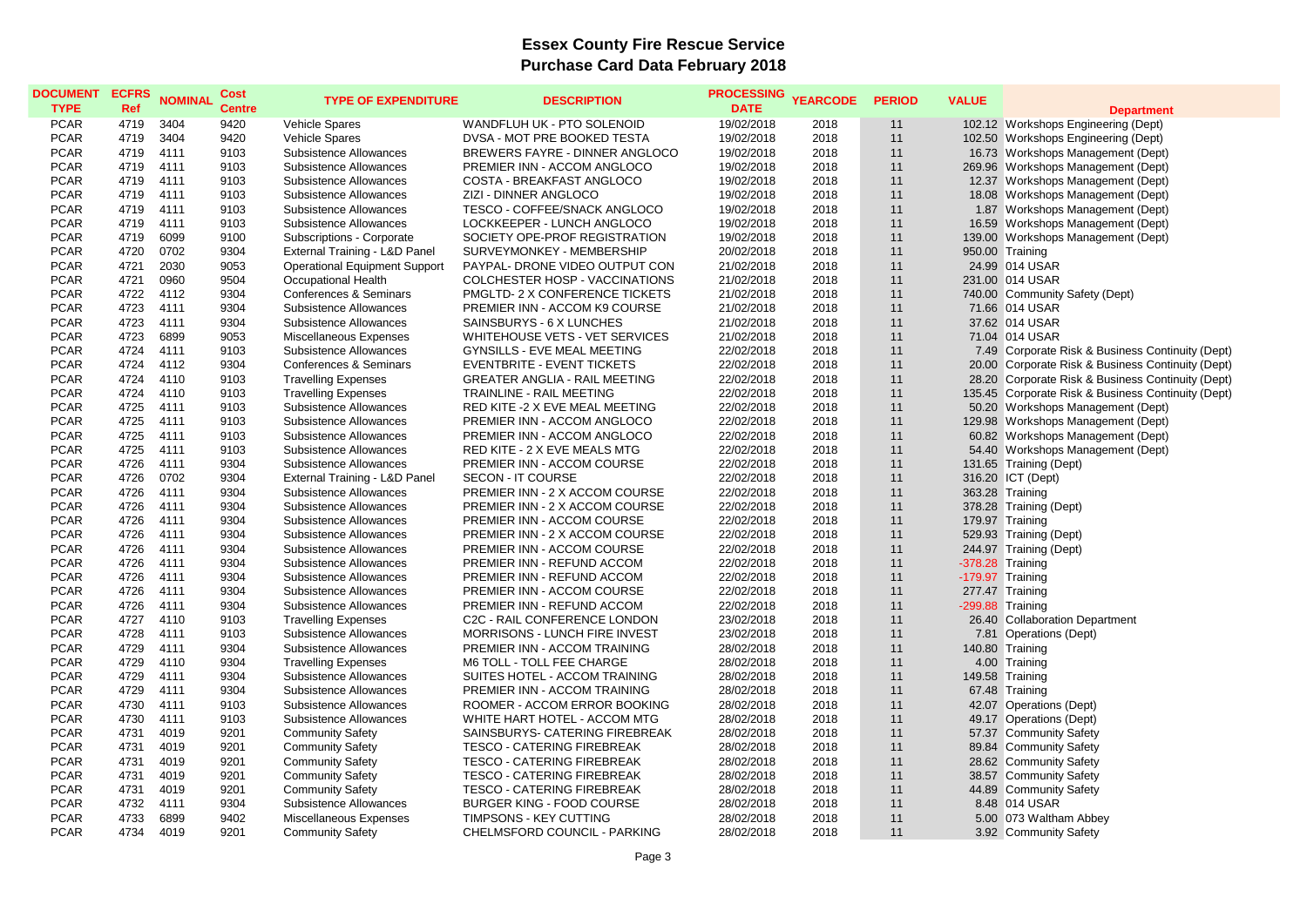| <b>DOCUMENT</b> | <b>ECFRS</b> | <b>NOMINAL</b> | <b>Cost</b>   | <b>TYPE OF EXPENDITURE</b>           | <b>DESCRIPTION</b>                   | <b>PROCESSING</b> | <b>YEARCODE</b> | <b>PERIOD</b> | <b>VALUE</b>     |                                                    |
|-----------------|--------------|----------------|---------------|--------------------------------------|--------------------------------------|-------------------|-----------------|---------------|------------------|----------------------------------------------------|
| <b>TYPE</b>     | Ref          |                | <b>Centre</b> |                                      |                                      | <b>DATE</b>       |                 |               |                  | <b>Department</b>                                  |
| <b>PCAR</b>     | 4719         | 3404           | 9420          | Vehicle Spares                       | WANDFLUH UK - PTO SOLENOID           | 19/02/2018        | 2018            | 11            |                  | 102.12 Workshops Engineering (Dept)                |
| <b>PCAR</b>     | 4719         | 3404           | 9420          | <b>Vehicle Spares</b>                | DVSA - MOT PRE BOOKED TESTA          | 19/02/2018        | 2018            | 11            |                  | 102.50 Workshops Engineering (Dept)                |
| <b>PCAR</b>     | 4719         | 4111           | 9103          | Subsistence Allowances               | BREWERS FAYRE - DINNER ANGLOCO       | 19/02/2018        | 2018            | 11            |                  | 16.73 Workshops Management (Dept)                  |
| <b>PCAR</b>     | 4719         | 4111           | 9103          | Subsistence Allowances               | PREMIER INN - ACCOM ANGLOCO          | 19/02/2018        | 2018            | 11            |                  | 269.96 Workshops Management (Dept)                 |
| <b>PCAR</b>     | 4719         | 4111           | 9103          | Subsistence Allowances               | COSTA - BREAKFAST ANGLOCO            | 19/02/2018        | 2018            | 11            |                  | 12.37 Workshops Management (Dept)                  |
| <b>PCAR</b>     | 4719         | 4111           | 9103          | Subsistence Allowances               | ZIZI - DINNER ANGLOCO                | 19/02/2018        | 2018            | 11            |                  | 18.08 Workshops Management (Dept)                  |
| <b>PCAR</b>     | 4719         | 4111           | 9103          | Subsistence Allowances               | TESCO - COFFEE/SNACK ANGLOCO         | 19/02/2018        | 2018            | 11            |                  | 1.87 Workshops Management (Dept)                   |
| <b>PCAR</b>     | 4719         | 4111           | 9103          | Subsistence Allowances               | LOCKKEEPER - LUNCH ANGLOCO           | 19/02/2018        | 2018            | 11            |                  | 16.59 Workshops Management (Dept)                  |
| <b>PCAR</b>     | 4719         | 6099           | 9100          | Subscriptions - Corporate            | SOCIETY OPE-PROF REGISTRATION        | 19/02/2018        | 2018            | 11            |                  | 139.00 Workshops Management (Dept)                 |
| <b>PCAR</b>     | 4720         | 0702           | 9304          | External Training - L&D Panel        | SURVEYMONKEY - MEMBERSHIP            | 20/02/2018        | 2018            | 11            |                  | 950.00 Training                                    |
| <b>PCAR</b>     | 4721         | 2030           | 9053          | <b>Operational Equipment Support</b> | PAYPAL- DRONE VIDEO OUTPUT CON       | 21/02/2018        | 2018            | 11            |                  | 24.99 014 USAR                                     |
| <b>PCAR</b>     | 4721         | 0960           | 9504          | Occupational Health                  | COLCHESTER HOSP - VACCINATIONS       | 21/02/2018        | 2018            | 11            |                  | 231.00 014 USAR                                    |
| <b>PCAR</b>     | 4722         | 4112           | 9304          | <b>Conferences &amp; Seminars</b>    | PMGLTD- 2 X CONFERENCE TICKETS       | 21/02/2018        | 2018            | 11            |                  | 740.00 Community Safety (Dept)                     |
| <b>PCAR</b>     | 4723         | 4111           | 9304          | Subsistence Allowances               | PREMIER INN - ACCOM K9 COURSE        | 21/02/2018        | 2018            | 11            |                  | 71.66 014 USAR                                     |
| <b>PCAR</b>     | 4723         | 4111           | 9304          | Subsistence Allowances               | SAINSBURYS - 6 X LUNCHES             | 21/02/2018        | 2018            | 11            |                  | 37.62 014 USAR                                     |
| <b>PCAR</b>     | 4723         | 6899           | 9053          | Miscellaneous Expenses               | WHITEHOUSE VETS - VET SERVICES       | 21/02/2018        | 2018            | 11            |                  | 71.04 014 USAR                                     |
| <b>PCAR</b>     | 4724         | 4111           | 9103          | Subsistence Allowances               | GYNSILLS - EVE MEAL MEETING          | 22/02/2018        | 2018            | 11            |                  | 7.49 Corporate Risk & Business Continuity (Dept)   |
| <b>PCAR</b>     | 4724         | 4112           | 9304          | Conferences & Seminars               | <b>EVENTBRITE - EVENT TICKETS</b>    | 22/02/2018        | 2018            | 11            |                  | 20.00 Corporate Risk & Business Continuity (Dept)  |
| <b>PCAR</b>     | 4724         | 4110           | 9103          | <b>Travelling Expenses</b>           | <b>GREATER ANGLIA - RAIL MEETING</b> | 22/02/2018        | 2018            | 11            |                  | 28.20 Corporate Risk & Business Continuity (Dept)  |
| <b>PCAR</b>     | 4724         | 4110           | 9103          | <b>Travelling Expenses</b>           | <b>TRAINLINE - RAIL MEETING</b>      | 22/02/2018        | 2018            | 11            |                  | 135.45 Corporate Risk & Business Continuity (Dept) |
| <b>PCAR</b>     | 4725         | 4111           | 9103          | Subsistence Allowances               | RED KITE -2 X EVE MEAL MEETING       | 22/02/2018        | 2018            | 11            |                  | 50.20 Workshops Management (Dept)                  |
| <b>PCAR</b>     | 4725         | 4111           | 9103          | Subsistence Allowances               | PREMIER INN - ACCOM ANGLOCO          | 22/02/2018        | 2018            | 11            |                  | 129.98 Workshops Management (Dept)                 |
| <b>PCAR</b>     | 4725         | 4111           | 9103          | Subsistence Allowances               | PREMIER INN - ACCOM ANGLOCO          | 22/02/2018        | 2018            | 11            |                  | 60.82 Workshops Management (Dept)                  |
| <b>PCAR</b>     | 4725         | 4111           | 9103          | Subsistence Allowances               | RED KITE - 2 X EVE MEALS MTG         | 22/02/2018        | 2018            | 11            |                  | 54.40 Workshops Management (Dept)                  |
| <b>PCAR</b>     | 4726         | 4111           | 9304          | Subsistence Allowances               | PREMIER INN - ACCOM COURSE           | 22/02/2018        | 2018            | 11            |                  | 131.65 Training (Dept)                             |
| <b>PCAR</b>     | 4726         | 0702           | 9304          | External Training - L&D Panel        | SECON - IT COURSE                    | 22/02/2018        | 2018            | 11            |                  | 316.20 ICT (Dept)                                  |
| <b>PCAR</b>     | 4726         | 4111           | 9304          | Subsistence Allowances               | PREMIER INN - 2 X ACCOM COURSE       | 22/02/2018        | 2018            | 11            |                  | 363.28 Training                                    |
| <b>PCAR</b>     | 4726         | 4111           | 9304          | Subsistence Allowances               | PREMIER INN - 2 X ACCOM COURSE       | 22/02/2018        | 2018            | 11            |                  | 378.28 Training (Dept)                             |
| <b>PCAR</b>     | 4726         | 4111           | 9304          | Subsistence Allowances               | PREMIER INN - ACCOM COURSE           | 22/02/2018        | 2018            | 11            |                  | 179.97 Training                                    |
| <b>PCAR</b>     | 4726         | 4111           | 9304          | Subsistence Allowances               | PREMIER INN - 2 X ACCOM COURSE       | 22/02/2018        | 2018            | 11            |                  | 529.93 Training (Dept)                             |
| <b>PCAR</b>     | 4726         | 4111           | 9304          | Subsistence Allowances               | PREMIER INN - ACCOM COURSE           | 22/02/2018        | 2018            | 11            |                  | 244.97 Training (Dept)                             |
| <b>PCAR</b>     | 4726         | 4111           | 9304          | Subsistence Allowances               | PREMIER INN - REFUND ACCOM           | 22/02/2018        | 2018            | 11            | -378.28 Training |                                                    |
| <b>PCAR</b>     | 4726         | 4111           | 9304          | Subsistence Allowances               | PREMIER INN - REFUND ACCOM           | 22/02/2018        | 2018            | 11            | -179.97 Training |                                                    |
| <b>PCAR</b>     | 4726         | 4111           | 9304          | Subsistence Allowances               | PREMIER INN - ACCOM COURSE           | 22/02/2018        | 2018            | 11            |                  | 277.47 Training                                    |
| <b>PCAR</b>     | 4726         | 4111           | 9304          | Subsistence Allowances               | PREMIER INN - REFUND ACCOM           | 22/02/2018        | 2018            | 11            | -299.88 Training |                                                    |
| <b>PCAR</b>     | 4727         | 4110           | 9103          | <b>Travelling Expenses</b>           | C2C - RAIL CONFERENCE LONDON         | 23/02/2018        | 2018            | 11            |                  | 26.40 Collaboration Department                     |
| <b>PCAR</b>     | 4728         | 4111           | 9103          | Subsistence Allowances               | <b>MORRISONS - LUNCH FIRE INVEST</b> | 23/02/2018        | 2018            | 11            |                  | 7.81 Operations (Dept)                             |
| <b>PCAR</b>     | 4729         | 4111           | 9304          | Subsistence Allowances               | PREMIER INN - ACCOM TRAINING         | 28/02/2018        | 2018            | 11            |                  | 140.80 Training                                    |
| <b>PCAR</b>     | 4729         | 4110           | 9304          | <b>Travelling Expenses</b>           | M6 TOLL - TOLL FEE CHARGE            | 28/02/2018        | 2018            | 11            |                  | 4.00 Training                                      |
| <b>PCAR</b>     | 4729         | 4111           | 9304          | Subsistence Allowances               | SUITES HOTEL - ACCOM TRAINING        | 28/02/2018        | 2018            | 11            |                  | 149.58 Training                                    |
| <b>PCAR</b>     | 4729         | 4111           | 9304          | Subsistence Allowances               | PREMIER INN - ACCOM TRAINING         | 28/02/2018        | 2018            | 11            |                  | 67.48 Training                                     |
| <b>PCAR</b>     | 4730         | 4111           | 9103          | Subsistence Allowances               | ROOMER - ACCOM ERROR BOOKING         | 28/02/2018        | 2018            | 11            |                  | 42.07 Operations (Dept)                            |
| <b>PCAR</b>     | 4730         | 4111           | 9103          | Subsistence Allowances               | WHITE HART HOTEL - ACCOM MTG         | 28/02/2018        | 2018            | 11            |                  | 49.17 Operations (Dept)                            |
| <b>PCAR</b>     | 4731         | 4019           | 9201          | <b>Community Safety</b>              | SAINSBURYS- CATERING FIREBREAK       | 28/02/2018        | 2018            | 11            |                  | 57.37 Community Safety                             |
| <b>PCAR</b>     | 4731         | 4019           | 9201          | <b>Community Safety</b>              | <b>TESCO - CATERING FIREBREAK</b>    | 28/02/2018        | 2018            | 11            |                  | 89.84 Community Safety                             |
| <b>PCAR</b>     | 4731         | 4019           | 9201          | <b>Community Safety</b>              | <b>TESCO - CATERING FIREBREAK</b>    | 28/02/2018        | 2018            | 11            |                  | 28.62 Community Safety                             |
| <b>PCAR</b>     | 4731         | 4019           | 9201          | <b>Community Safety</b>              | <b>TESCO - CATERING FIREBREAK</b>    | 28/02/2018        | 2018            | 11            |                  | 38.57 Community Safety                             |
| <b>PCAR</b>     | 4731         | 4019           | 9201          | <b>Community Safety</b>              | <b>TESCO - CATERING FIREBREAK</b>    | 28/02/2018        | 2018            | 11            |                  | 44.89 Community Safety                             |
| <b>PCAR</b>     | 4732         | 4111           | 9304          | Subsistence Allowances               | BURGER KING - FOOD COURSE            | 28/02/2018        | 2018            | 11            |                  | 8.48 014 USAR                                      |
| <b>PCAR</b>     | 4733         | 6899           | 9402          | Miscellaneous Expenses               | TIMPSONS - KEY CUTTING               | 28/02/2018        | 2018            | 11            |                  | 5.00 073 Waltham Abbey                             |
| <b>PCAR</b>     | 4734         | 4019           | 9201          |                                      | CHELMSFORD COUNCIL - PARKING         |                   | 2018            | 11            |                  |                                                    |
|                 |              |                |               | <b>Community Safety</b>              |                                      | 28/02/2018        |                 |               |                  | 3.92 Community Safety                              |